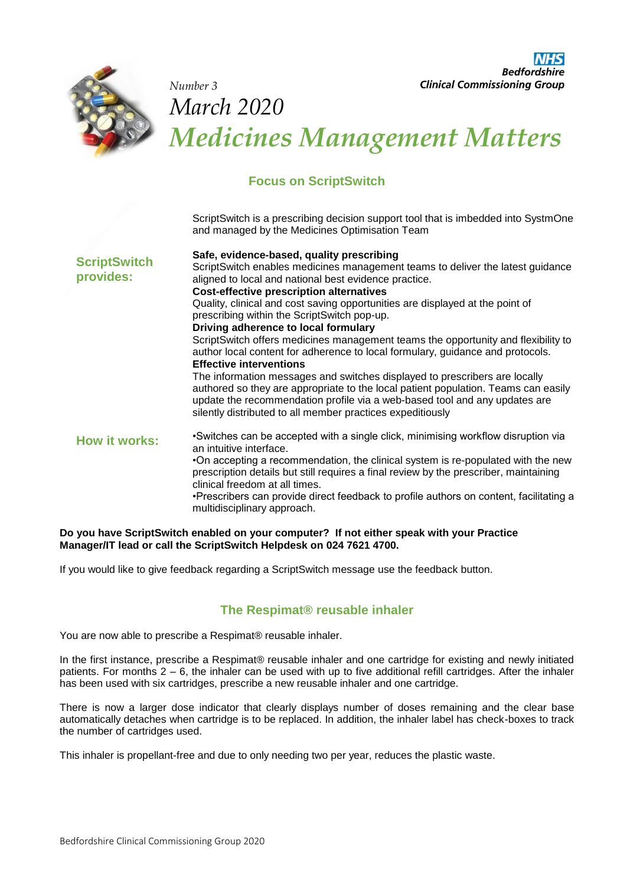

*Number 3* 

**Bedfordshire Clinical Commissioning Group** 

# *March 2020 Medicines Management Matters*

## **Focus on ScriptSwitch**

ScriptSwitch is a prescribing decision support tool that is imbedded into SystmOne and managed by the Medicines Optimisation Team

| <b>ScriptSwitch</b><br>provides: | Safe, evidence-based, quality prescribing<br>ScriptSwitch enables medicines management teams to deliver the latest guidance<br>aligned to local and national best evidence practice.<br><b>Cost-effective prescription alternatives</b><br>Quality, clinical and cost saving opportunities are displayed at the point of<br>prescribing within the ScriptSwitch pop-up.<br>Driving adherence to local formulary<br>ScriptSwitch offers medicines management teams the opportunity and flexibility to<br>author local content for adherence to local formulary, guidance and protocols.<br><b>Effective interventions</b><br>The information messages and switches displayed to prescribers are locally<br>authored so they are appropriate to the local patient population. Teams can easily<br>update the recommendation profile via a web-based tool and any updates are<br>silently distributed to all member practices expeditiously |
|----------------------------------|------------------------------------------------------------------------------------------------------------------------------------------------------------------------------------------------------------------------------------------------------------------------------------------------------------------------------------------------------------------------------------------------------------------------------------------------------------------------------------------------------------------------------------------------------------------------------------------------------------------------------------------------------------------------------------------------------------------------------------------------------------------------------------------------------------------------------------------------------------------------------------------------------------------------------------------|
| <b>How it works:</b>             | •Switches can be accepted with a single click, minimising workflow disruption via<br>an intuitive interface.<br>•On accepting a recommendation, the clinical system is re-populated with the new<br>prescription details but still requires a final review by the prescriber, maintaining<br>clinical freedom at all times.<br>•Prescribers can provide direct feedback to profile authors on content, facilitating a<br>multidisciplinary approach.                                                                                                                                                                                                                                                                                                                                                                                                                                                                                     |

#### **Do you have ScriptSwitch enabled on your computer? If not either speak with your Practice Manager/IT lead or call the ScriptSwitch Helpdesk on 024 7621 4700.**

If you would like to give feedback regarding a ScriptSwitch message use the feedback button.

### **The Respimat® reusable inhaler**

You are now able to prescribe a Respimat® reusable inhaler.

In the first instance, prescribe a Respimat® reusable inhaler and one cartridge for existing and newly initiated patients. For months 2 – 6, the inhaler can be used with up to five additional refill cartridges. After the inhaler has been used with six cartridges, prescribe a new reusable inhaler and one cartridge.

There is now a larger dose indicator that clearly displays number of doses remaining and the clear base automatically detaches when cartridge is to be replaced. In addition, the inhaler label has check-boxes to track the number of cartridges used.

This inhaler is propellant-free and due to only needing two per year, reduces the plastic waste.